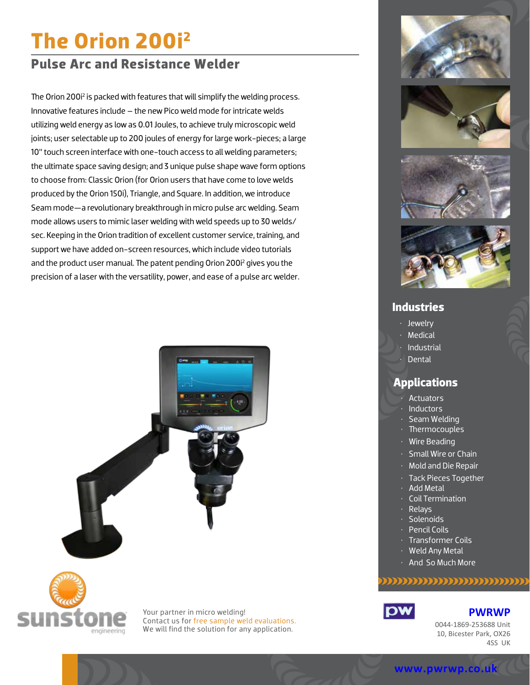# **The Orion 200i2**

# **Pulse Arc and Resistance Welder**

The Orion 200i<sup>2</sup> is packed with features that will simplify the welding process. Innovative features include – the new Pico weld mode for intricate welds utilizing weld energy as low as 0.01 Joules, to achieve truly microscopic weld joints; user selectable up to 200 joules of energy for large work-pieces; a large 10" touch screen interface with one-touch access to all welding parameters; the ultimate space saving design; and 3 unique pulse shape wave form options to choose from: Classic Orion (for Orion users that have come to love welds produced by the Orion 150i), Triangle, and Square. In addition, we introduce Seam mode—a revolutionary breakthrough in micro pulse arc welding. Seam mode allows users to mimic laser welding with weld speeds up to 30 welds/ sec. Keeping in the Orion tradition of excellent customer service, training, and support we have added on-screen resources, which include video tutorials and the product user manual. The patent pending Orion 200i<sup>2</sup> gives you the precision of a laser with the versatility, power, and ease of a pulse arc welder.





Your partner in micro welding! Contact us for free sample weld evaluations. We will find the solution for any application.









## **Industries**

- Jewelry
- Medical
- Industrial
- Dental

# **Applications**

- Actuators
- Inductors
- Seam Welding
- Thermocouples
- Wire Beading
- Small Wire or Chain
- Mold and Die Repair
- Tack Pieces Together
- Add Metal
- Coil Termination
- Relays
- Solenoids
- Pencil Coils
- Transformer Coils • Weld Any Metal
- 
- And So Much More

### ,,,,,,,,,,,,,,,,,,,,,,,,



#### **PWRWP**

0044-1869-253688 Unit 10, Bicester Park, OX26 4SS UK